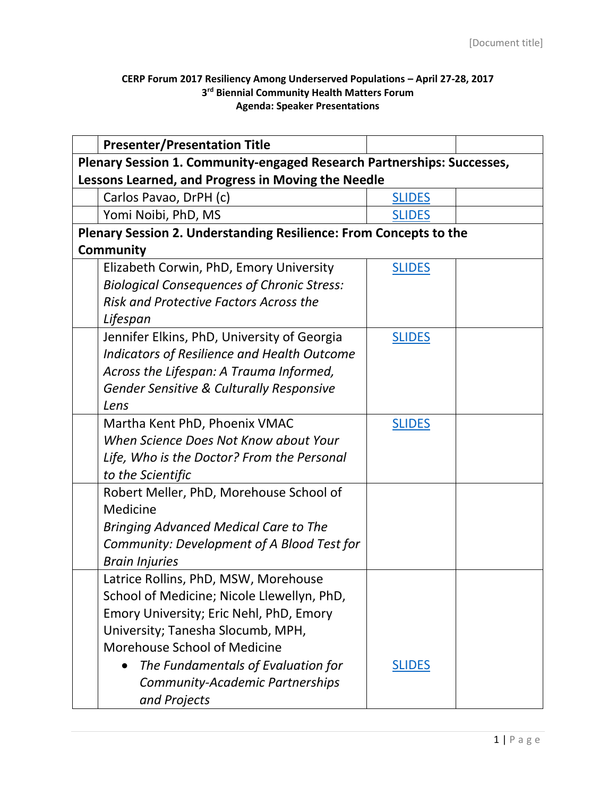## **CERP Forum 2017 Resiliency Among Underserved Populations – April 27-28, 2017 3 rd Biennial Community Health Matters Forum Agenda: Speaker Presentations**

|                                                                   | <b>Presenter/Presentation Title</b>                                    |               |  |  |  |
|-------------------------------------------------------------------|------------------------------------------------------------------------|---------------|--|--|--|
|                                                                   | Plenary Session 1. Community-engaged Research Partnerships: Successes, |               |  |  |  |
| Lessons Learned, and Progress in Moving the Needle                |                                                                        |               |  |  |  |
|                                                                   | Carlos Pavao, DrPH (c)                                                 | <b>SLIDES</b> |  |  |  |
|                                                                   | Yomi Noibi, PhD, MS                                                    | <b>SLIDES</b> |  |  |  |
| Plenary Session 2. Understanding Resilience: From Concepts to the |                                                                        |               |  |  |  |
| <b>Community</b>                                                  |                                                                        |               |  |  |  |
|                                                                   | Elizabeth Corwin, PhD, Emory University                                | <b>SLIDES</b> |  |  |  |
|                                                                   | <b>Biological Consequences of Chronic Stress:</b>                      |               |  |  |  |
|                                                                   | <b>Risk and Protective Factors Across the</b>                          |               |  |  |  |
|                                                                   | Lifespan                                                               |               |  |  |  |
|                                                                   | Jennifer Elkins, PhD, University of Georgia                            | <b>SLIDES</b> |  |  |  |
|                                                                   | Indicators of Resilience and Health Outcome                            |               |  |  |  |
|                                                                   | Across the Lifespan: A Trauma Informed,                                |               |  |  |  |
|                                                                   | <b>Gender Sensitive &amp; Culturally Responsive</b>                    |               |  |  |  |
|                                                                   | Lens                                                                   |               |  |  |  |
|                                                                   | Martha Kent PhD, Phoenix VMAC                                          | <b>SLIDES</b> |  |  |  |
|                                                                   | When Science Does Not Know about Your                                  |               |  |  |  |
|                                                                   | Life, Who is the Doctor? From the Personal                             |               |  |  |  |
|                                                                   | to the Scientific                                                      |               |  |  |  |
|                                                                   | Robert Meller, PhD, Morehouse School of                                |               |  |  |  |
|                                                                   | Medicine                                                               |               |  |  |  |
|                                                                   | <b>Bringing Advanced Medical Care to The</b>                           |               |  |  |  |
|                                                                   | Community: Development of A Blood Test for                             |               |  |  |  |
|                                                                   | <b>Brain Injuries</b>                                                  |               |  |  |  |
|                                                                   | Latrice Rollins, PhD, MSW, Morehouse                                   |               |  |  |  |
|                                                                   | School of Medicine; Nicole Llewellyn, PhD,                             |               |  |  |  |
|                                                                   | Emory University; Eric Nehl, PhD, Emory                                |               |  |  |  |
|                                                                   | University; Tanesha Slocumb, MPH,                                      |               |  |  |  |
|                                                                   | Morehouse School of Medicine                                           |               |  |  |  |
|                                                                   | The Fundamentals of Evaluation for                                     | <b>SLIDES</b> |  |  |  |
|                                                                   | Community-Academic Partnerships                                        |               |  |  |  |
|                                                                   | and Projects                                                           |               |  |  |  |